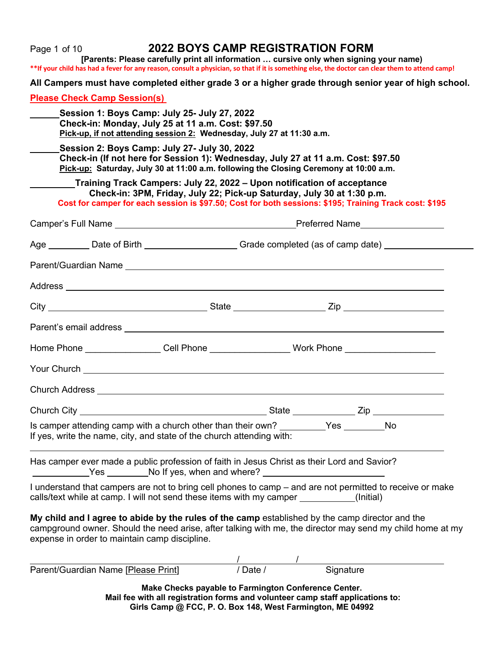| Page 1 of 10<br>**If your child has had a fever for any reason, consult a physician, so that if it is something else, the doctor can clear them to attend camp!                                                                                               | <b>2022 BOYS CAMP REGISTRATION FORM</b><br>[Parents: Please carefully print all information  cursive only when signing your name) |  |                          |  |  |  |  |  |  |
|---------------------------------------------------------------------------------------------------------------------------------------------------------------------------------------------------------------------------------------------------------------|-----------------------------------------------------------------------------------------------------------------------------------|--|--------------------------|--|--|--|--|--|--|
| All Campers must have completed either grade 3 or a higher grade through senior year of high school.                                                                                                                                                          |                                                                                                                                   |  |                          |  |  |  |  |  |  |
| <b>Please Check Camp Session(s)</b>                                                                                                                                                                                                                           |                                                                                                                                   |  |                          |  |  |  |  |  |  |
| Session 1: Boys Camp: July 25- July 27, 2022<br>Check-in: Monday, July 25 at 11 a.m. Cost: \$97.50<br>Pick-up, if not attending session 2: Wednesday, July 27 at 11:30 a.m.                                                                                   |                                                                                                                                   |  |                          |  |  |  |  |  |  |
| Session 2: Boys Camp: July 27- July 30, 2022<br>Check-in (If not here for Session 1): Wednesday, July 27 at 11 a.m. Cost: \$97.50<br>Pick-up: Saturday, July 30 at 11:00 a.m. following the Closing Ceremony at 10:00 a.m.                                    |                                                                                                                                   |  |                          |  |  |  |  |  |  |
| Training Track Campers: July 22, 2022 – Upon notification of acceptance<br>Cost for camper for each session is \$97.50; Cost for both sessions: \$195; Training Track cost: \$195                                                                             | Check-in: 3PM, Friday, July 22; Pick-up Saturday, July 30 at 1:30 p.m.                                                            |  |                          |  |  |  |  |  |  |
|                                                                                                                                                                                                                                                               |                                                                                                                                   |  |                          |  |  |  |  |  |  |
| Age __________ Date of Birth _______________________Grade completed (as of camp date) ______________                                                                                                                                                          |                                                                                                                                   |  |                          |  |  |  |  |  |  |
|                                                                                                                                                                                                                                                               |                                                                                                                                   |  |                          |  |  |  |  |  |  |
|                                                                                                                                                                                                                                                               |                                                                                                                                   |  |                          |  |  |  |  |  |  |
|                                                                                                                                                                                                                                                               |                                                                                                                                   |  |                          |  |  |  |  |  |  |
|                                                                                                                                                                                                                                                               |                                                                                                                                   |  |                          |  |  |  |  |  |  |
| Home Phone __________________Cell Phone ___________________Work Phone ______________________________                                                                                                                                                          |                                                                                                                                   |  |                          |  |  |  |  |  |  |
|                                                                                                                                                                                                                                                               |                                                                                                                                   |  |                          |  |  |  |  |  |  |
|                                                                                                                                                                                                                                                               |                                                                                                                                   |  |                          |  |  |  |  |  |  |
| Church City                                                                                                                                                                                                                                                   |                                                                                                                                   |  |                          |  |  |  |  |  |  |
| Is camper attending camp with a church other than their own? _________Yes _______No<br>If yes, write the name, city, and state of the church attending with:                                                                                                  |                                                                                                                                   |  |                          |  |  |  |  |  |  |
| Has camper ever made a public profession of faith in Jesus Christ as their Lord and Savior?<br>Ves No If yes, when and where?                                                                                                                                 |                                                                                                                                   |  |                          |  |  |  |  |  |  |
| I understand that campers are not to bring cell phones to camp - and are not permitted to receive or make<br>calls/text while at camp. I will not send these items with my camper __________(Initial)                                                         |                                                                                                                                   |  |                          |  |  |  |  |  |  |
| My child and I agree to abide by the rules of the camp established by the camp director and the<br>campground owner. Should the need arise, after talking with me, the director may send my child home at my<br>expense in order to maintain camp discipline. |                                                                                                                                   |  |                          |  |  |  |  |  |  |
| Parent/Guardian Name [Please Print]                                                                                                                                                                                                                           |                                                                                                                                   |  | /<br>/Date / / Signature |  |  |  |  |  |  |
|                                                                                                                                                                                                                                                               | Make Checks payable to Farmington Conference Center.                                                                              |  |                          |  |  |  |  |  |  |
|                                                                                                                                                                                                                                                               | Mail fee with all registration forms and volunteer camp staff applications to:                                                    |  |                          |  |  |  |  |  |  |

**Girls Camp @ FCC, P. O. Box 148, West Farmington, ME 04992**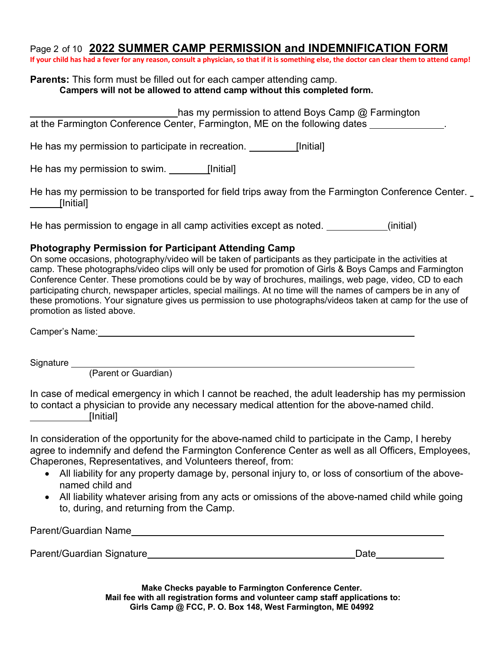## Page 2 of 10 **2022 SUMMER CAMP PERMISSION and INDEMNIFICATION FORM**

**If your child has had a fever for any reason, consult a physician, so that if it is something else, the doctor can clear them to attend camp!**

#### **Parents:** This form must be filled out for each camper attending camp. **Campers will not be allowed to attend camp without this completed form.**

| has my permission to attend Boys Camp @ Farmington<br>at the Farmington Conference Center, Farmington, ME on the following dates |  |
|----------------------------------------------------------------------------------------------------------------------------------|--|
| He has my permission to participate in recreation.<br>[Initial]                                                                  |  |

He has my permission to swim. [Initial]

He has my permission to be transported for field trips away from the Farmington Conference Center. [Initial]

He has permission to engage in all camp activities except as noted. (initial)

### **Photography Permission for Participant Attending Camp**

On some occasions, photography/video will be taken of participants as they participate in the activities at camp. These photographs/video clips will only be used for promotion of Girls & Boys Camps and Farmington Conference Center. These promotions could be by way of brochures, mailings, web page, video, CD to each participating church, newspaper articles, special mailings. At no time will the names of campers be in any of these promotions. Your signature gives us permission to use photographs/videos taken at camp for the use of promotion as listed above.

Camper's Name:

Signature

(Parent or Guardian)

In case of medical emergency in which I cannot be reached, the adult leadership has my permission to contact a physician to provide any necessary medical attention for the above-named child. [Initial]

In consideration of the opportunity for the above-named child to participate in the Camp, I hereby agree to indemnify and defend the Farmington Conference Center as well as all Officers, Employees, Chaperones, Representatives, and Volunteers thereof, from:

- All liability for any property damage by, personal injury to, or loss of consortium of the abovenamed child and
- All liability whatever arising from any acts or omissions of the above-named child while going to, during, and returning from the Camp.

| Parent/Guardian Name      |      |
|---------------------------|------|
|                           |      |
| Parent/Guardian Signature | Date |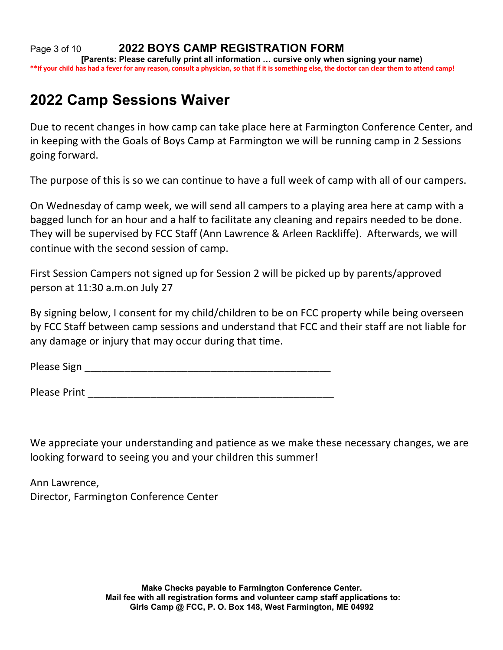Page 3 of 10 **2022 BOYS CAMP REGISTRATION FORM [Parents: Please carefully print all information … cursive only when signing your name) \*\*If your child has had a fever for any reason, consult a physician, so that if it is something else, the doctor can clear them to attend camp!**

# **2022 Camp Sessions Waiver**

Due to recent changes in how camp can take place here at Farmington Conference Center, and in keeping with the Goals of Boys Camp at Farmington we will be running camp in 2 Sessions going forward.

The purpose of this is so we can continue to have a full week of camp with all of our campers.

On Wednesday of camp week, we will send all campers to a playing area here at camp with a bagged lunch for an hour and a half to facilitate any cleaning and repairs needed to be done. They will be supervised by FCC Staff (Ann Lawrence & Arleen Rackliffe). Afterwards, we will continue with the second session of camp.

First Session Campers not signed up for Session 2 will be picked up by parents/approved person at 11:30 a.m.on July 27

By signing below, I consent for my child/children to be on FCC property while being overseen by FCC Staff between camp sessions and understand that FCC and their staff are not liable for any damage or injury that may occur during that time.

Please Sign \_\_\_\_\_\_\_\_\_\_\_\_\_\_\_\_\_\_\_\_\_\_\_\_\_\_\_\_\_\_\_\_\_\_\_\_\_\_\_\_\_\_\_

Please Print **Executive Contract Contract Contract Contract Contract Contract Contract Contract Contract Contract Contract Contract Contract Contract Contract Contract Contract Contract Contract Contract Contract Contract** 

We appreciate your understanding and patience as we make these necessary changes, we are looking forward to seeing you and your children this summer!

Ann Lawrence, Director, Farmington Conference Center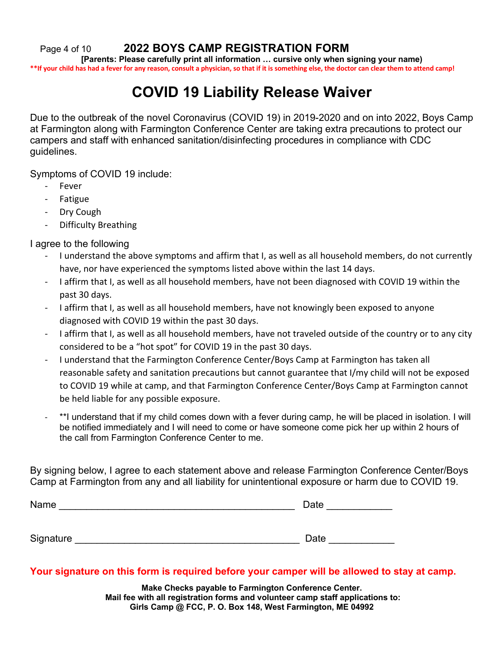Page 4 of 10 **2022 BOYS CAMP REGISTRATION FORM**

**[Parents: Please carefully print all information … cursive only when signing your name) \*\*If your child has had a fever for any reason, consult a physician, so that if it is something else, the doctor can clear them to attend camp!**

# **COVID 19 Liability Release Waiver**

Due to the outbreak of the novel Coronavirus (COVID 19) in 2019-2020 and on into 2022, Boys Camp at Farmington along with Farmington Conference Center are taking extra precautions to protect our campers and staff with enhanced sanitation/disinfecting procedures in compliance with CDC guidelines.

Symptoms of COVID 19 include:

- **Fever**
- **Fatigue**
- Dry Cough
- Difficulty Breathing

I agree to the following

- I understand the above symptoms and affirm that I, as well as all household members, do not currently have, nor have experienced the symptoms listed above within the last 14 days.
- I affirm that I, as well as all household members, have not been diagnosed with COVID 19 within the past 30 days.
- I affirm that I, as well as all household members, have not knowingly been exposed to anyone diagnosed with COVID 19 within the past 30 days.
- I affirm that I, as well as all household members, have not traveled outside of the country or to any city considered to be a "hot spot" for COVID 19 in the past 30 days.
- I understand that the Farmington Conference Center/Boys Camp at Farmington has taken all reasonable safety and sanitation precautions but cannot guarantee that I/my child will not be exposed to COVID 19 while at camp, and that Farmington Conference Center/Boys Camp at Farmington cannot be held liable for any possible exposure.
- \*\*I understand that if my child comes down with a fever during camp, he will be placed in isolation. I will be notified immediately and I will need to come or have someone come pick her up within 2 hours of the call from Farmington Conference Center to me.

By signing below, I agree to each statement above and release Farmington Conference Center/Boys Camp at Farmington from any and all liability for unintentional exposure or harm due to COVID 19.

| Name      | Date |
|-----------|------|
|           |      |
|           |      |
| Signature | Date |

### **Your signature on this form is required before your camper will be allowed to stay at camp.**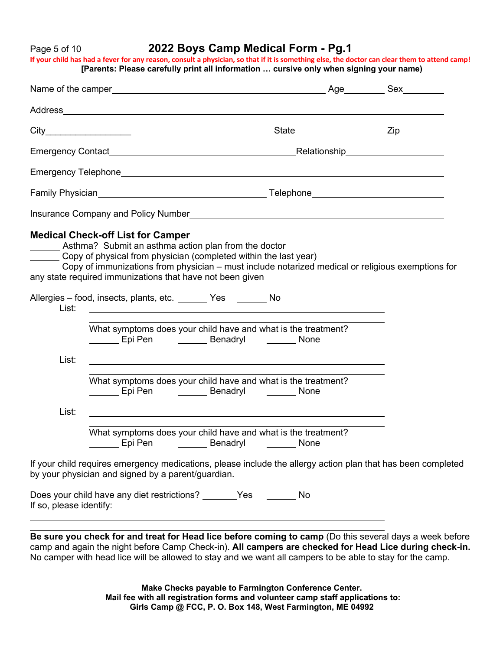### Page 5 of 10 **2022 Boys Camp Medical Form - Pg.1**

**If your child has had a fever for any reason, consult a physician, so that if it is something else, the doctor can clear them to attend camp! [Parents: Please carefully print all information … cursive only when signing your name)**

|                         | <b>Medical Check-off List for Camper</b><br>_______ Asthma? Submit an asthma action plan from the doctor<br>Copy of physical from physician (completed within the last year)<br>Copy of immunizations from physician – must include notarized medical or religious exemptions for<br>any state required immunizations that have not been given |  |
|-------------------------|------------------------------------------------------------------------------------------------------------------------------------------------------------------------------------------------------------------------------------------------------------------------------------------------------------------------------------------------|--|
| List:                   | Allergies - food, insects, plants, etc. _______ Yes _______ No<br><u> 1989 - Johann Stoff, deutscher Stoffen und der Stoffen und der Stoffen und der Stoffen und der Stoffen und de</u>                                                                                                                                                        |  |
|                         | What symptoms does your child have and what is the treatment?<br>Epi Pen _________ Benadryl ________ None                                                                                                                                                                                                                                      |  |
| List:                   | <u> 1989 - Andrea Santa Andrea Andrea Santa Andrea Andrea Andrea Andrea Andrea Andrea Andrea Andrea Andrea Andre</u>                                                                                                                                                                                                                           |  |
|                         | What symptoms does your child have and what is the treatment?<br>Epi Pen <b>Denaming Contact Contact Contact Contact Contact Contact Contact Contact Contact Contact Contact Conta</b>                                                                                                                                                         |  |
| List:                   |                                                                                                                                                                                                                                                                                                                                                |  |
|                         | What symptoms does your child have and what is the treatment?                                                                                                                                                                                                                                                                                  |  |
|                         | If your child requires emergency medications, please include the allergy action plan that has been completed<br>by your physician and signed by a parent/guardian.                                                                                                                                                                             |  |
| If so, please identify: | Does your child have any diet restrictions? _______Yes ________ No                                                                                                                                                                                                                                                                             |  |
|                         |                                                                                                                                                                                                                                                                                                                                                |  |

**Be sure you check for and treat for Head lice before coming to camp** (Do this several days a week before camp and again the night before Camp Check-in). **All campers are checked for Head Lice during check-in.**  No camper with head lice will be allowed to stay and we want all campers to be able to stay for the camp.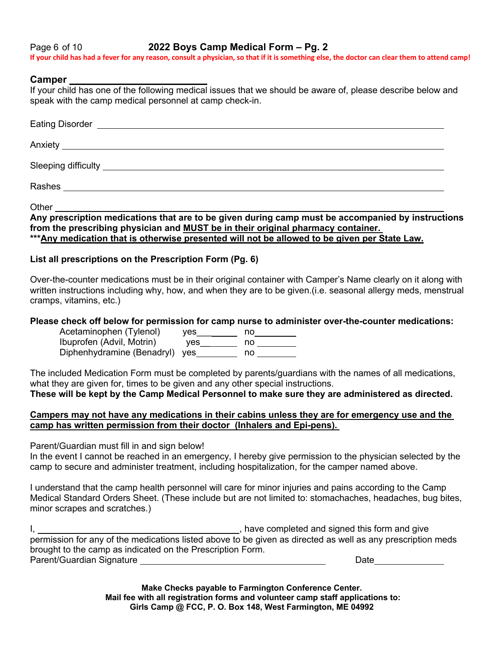Page 6 of 10 **2022 Boys Camp Medical Form – Pg. 2 If your child has had a fever for any reason, consult a physician, so that if it is something else, the doctor can clear them to attend camp!**

#### **Camper**

If your child has one of the following medical issues that we should be aware of, please describe below and speak with the camp medical personnel at camp check-in.

| Anxiety <b>Executive Community Contract Community Contract Community Contract Community</b> |  |
|---------------------------------------------------------------------------------------------|--|
|                                                                                             |  |
|                                                                                             |  |
|                                                                                             |  |

Other

**Any prescription medications that are to be given during camp must be accompanied by instructions from the prescribing physician and MUST be in their original pharmacy container. \*\*\*Any medication that is otherwise presented will not be allowed to be given per State Law.**

#### **List all prescriptions on the Prescription Form (Pg. 6)**

Over-the-counter medications must be in their original container with Camper's Name clearly on it along with written instructions including why, how, and when they are to be given.(i.e. seasonal allergy meds, menstrual cramps, vitamins, etc.)

#### **Please check off below for permission for camp nurse to administer over-the-counter medications:**

Acetaminophen (Tylenol) yes \_\_\_\_\_\_\_ no\_\_\_\_\_\_\_\_ Ibuprofen (Advil, Motrin) yes\_\_ no Diphenhydramine (Benadryl) yes
<u>worrow no</u> no

The included Medication Form must be completed by parents/guardians with the names of all medications, what they are given for, times to be given and any other special instructions.

**These will be kept by the Camp Medical Personnel to make sure they are administered as directed.**

#### **Campers may not have any medications in their cabins unless they are for emergency use and the camp has written permission from their doctor (Inhalers and Epi-pens).**

Parent/Guardian must fill in and sign below!

In the event I cannot be reached in an emergency, I hereby give permission to the physician selected by the camp to secure and administer treatment, including hospitalization, for the camper named above.

I understand that the camp health personnel will care for minor injuries and pains according to the Camp Medical Standard Orders Sheet. (These include but are not limited to: stomachaches, headaches, bug bites, minor scrapes and scratches.)

I, , have completed and signed this form and give permission for any of the medications listed above to be given as directed as well as any prescription meds brought to the camp as indicated on the Prescription Form. Parent/Guardian Signature Late and Contract and Contract and Contract and Date Date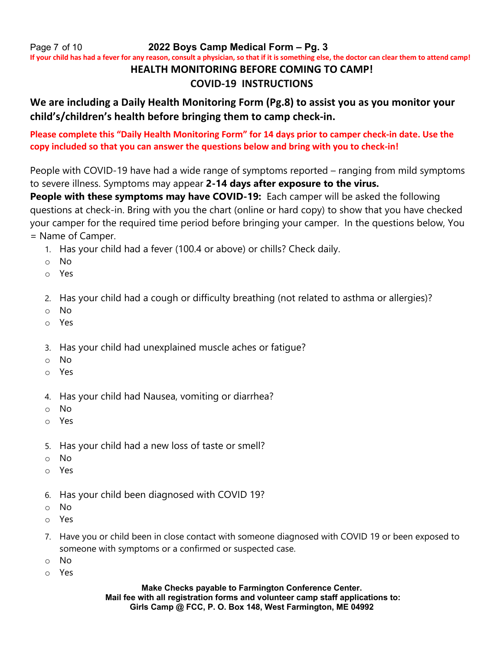Page 7 of 10 **2022 Boys Camp Medical Form – Pg. 3**

**If your child has had a fever for any reason, consult a physician, so that if it is something else, the doctor can clear them to attend camp!**

# **HEALTH MONITORING BEFORE COMING TO CAMP!**

## **COVID-19 INSTRUCTIONS**

# **We are including a Daily Health Monitoring Form (Pg.8) to assist you as you monitor your child's/children's health before bringing them to camp check-in.**

**Please complete this "Daily Health Monitoring Form" for 14 days prior to camper check-in date. Use the copy included so that you can answer the questions below and bring with you to check-in!**

People with COVID-19 have had a wide range of symptoms reported – ranging from mild symptoms to severe illness. Symptoms may appear **2-14 days after exposure to the virus.**

**People with these symptoms may have COVID-19:** Each camper will be asked the following questions at check-in. Bring with you the chart (online or hard copy) to show that you have checked your camper for the required time period before bringing your camper. In the questions below, You = Name of Camper.

- 1. Has your child had a fever (100.4 or above) or chills? Check daily.
- o No
- o Yes
- 2. Has your child had a cough or difficulty breathing (not related to asthma or allergies)?
- o No
- o Yes
- 3. Has your child had unexplained muscle aches or fatigue?
- o No
- o Yes
- 4. Has your child had Nausea, vomiting or diarrhea?
- o No
- o Yes
- 5. Has your child had a new loss of taste or smell?
- o No
- o Yes
- 6. Has your child been diagnosed with COVID 19?
- o No
- o Yes
- 7. Have you or child been in close contact with someone diagnosed with COVID 19 or been exposed to someone with symptoms or a confirmed or suspected case.
- o No
- o Yes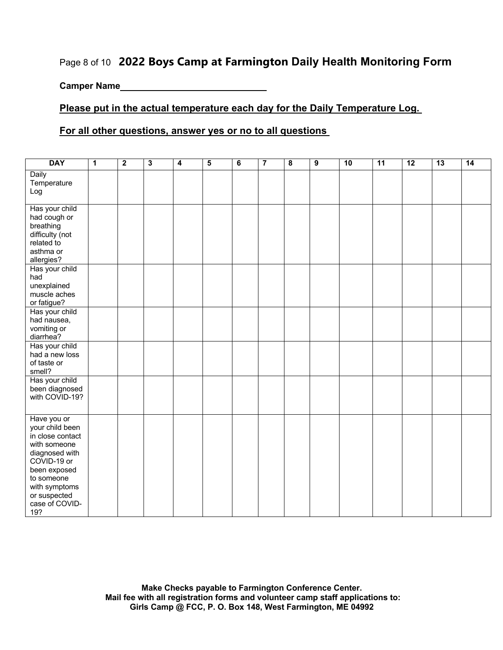# Page 8 of 10 **2022 Boys Camp at Farmington Daily Health Monitoring Form**

**Camper Name**

### **Please put in the actual temperature each day for the Daily Temperature Log.**

#### **For all other questions, answer yes or no to all questions**

| <b>DAY</b>                                                                                                                                                                                  | $\mathbf{1}$ | $\overline{2}$ | $\overline{\mathbf{3}}$ | 4 | $\overline{5}$ | $\overline{\mathbf{6}}$ | $\overline{\mathbf{7}}$ | $\overline{\mathbf{8}}$ | $\overline{9}$ | 10 | 11 | 12 | 13 | 14 |
|---------------------------------------------------------------------------------------------------------------------------------------------------------------------------------------------|--------------|----------------|-------------------------|---|----------------|-------------------------|-------------------------|-------------------------|----------------|----|----|----|----|----|
| Daily<br>Temperature<br>Log                                                                                                                                                                 |              |                |                         |   |                |                         |                         |                         |                |    |    |    |    |    |
| Has your child<br>had cough or<br>breathing<br>difficulty (not<br>related to<br>asthma or<br>allergies?                                                                                     |              |                |                         |   |                |                         |                         |                         |                |    |    |    |    |    |
| Has your child<br>had<br>unexplained<br>muscle aches<br>or fatigue?                                                                                                                         |              |                |                         |   |                |                         |                         |                         |                |    |    |    |    |    |
| Has your child<br>had nausea,<br>vomiting or<br>diarrhea?                                                                                                                                   |              |                |                         |   |                |                         |                         |                         |                |    |    |    |    |    |
| Has your child<br>had a new loss<br>of taste or<br>smell?                                                                                                                                   |              |                |                         |   |                |                         |                         |                         |                |    |    |    |    |    |
| Has your child<br>been diagnosed<br>with COVID-19?                                                                                                                                          |              |                |                         |   |                |                         |                         |                         |                |    |    |    |    |    |
| Have you or<br>your child been<br>in close contact<br>with someone<br>diagnosed with<br>COVID-19 or<br>been exposed<br>to someone<br>with symptoms<br>or suspected<br>case of COVID-<br>19? |              |                |                         |   |                |                         |                         |                         |                |    |    |    |    |    |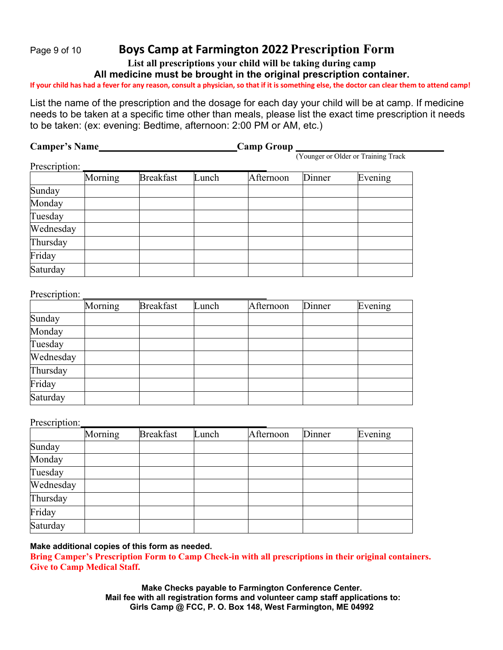# Page <sup>9</sup> of <sup>10</sup> **Boys Camp at Farmington 2022Prescription Form**

**List all prescriptions your child will be taking during camp**

**All medicine must be brought in the original prescription container.** 

**If your child has had a fever for any reason, consult a physician, so that if it is something else, the doctor can clear them to attend camp!**

List the name of the prescription and the dosage for each day your child will be at camp. If medicine needs to be taken at a specific time other than meals, please list the exact time prescription it needs to be taken: (ex: evening: Bedtime, afternoon: 2:00 PM or AM, etc.)

| <b>Camper's Name</b> |         |                  | <b>Camp Group</b> |           |        |                                     |  |  |  |  |
|----------------------|---------|------------------|-------------------|-----------|--------|-------------------------------------|--|--|--|--|
|                      |         |                  |                   |           |        | (Younger or Older or Training Track |  |  |  |  |
| Prescription:        |         |                  |                   |           |        |                                     |  |  |  |  |
|                      | Morning | <b>Breakfast</b> | Lunch             | Afternoon | Dinner | Evening                             |  |  |  |  |
| Sunday               |         |                  |                   |           |        |                                     |  |  |  |  |
| Monday               |         |                  |                   |           |        |                                     |  |  |  |  |
| Tuesday              |         |                  |                   |           |        |                                     |  |  |  |  |
| Wednesday            |         |                  |                   |           |        |                                     |  |  |  |  |
| Thursday             |         |                  |                   |           |        |                                     |  |  |  |  |
| Friday               |         |                  |                   |           |        |                                     |  |  |  |  |
| Saturday             |         |                  |                   |           |        |                                     |  |  |  |  |

#### Prescription:

|           | Morning | <b>Breakfast</b> | Lunch | Afternoon | Dinner | Evening |
|-----------|---------|------------------|-------|-----------|--------|---------|
| Sunday    |         |                  |       |           |        |         |
| Monday    |         |                  |       |           |        |         |
| Tuesday   |         |                  |       |           |        |         |
| Wednesday |         |                  |       |           |        |         |
| Thursday  |         |                  |       |           |        |         |
| Friday    |         |                  |       |           |        |         |
| Saturday  |         |                  |       |           |        |         |

Prescription:

|           | Morning | <b>Breakfast</b> | Lunch | Afternoon | Dinner | Evening |
|-----------|---------|------------------|-------|-----------|--------|---------|
| Sunday    |         |                  |       |           |        |         |
| Monday    |         |                  |       |           |        |         |
| Tuesday   |         |                  |       |           |        |         |
| Wednesday |         |                  |       |           |        |         |
| Thursday  |         |                  |       |           |        |         |
| Friday    |         |                  |       |           |        |         |
| Saturday  |         |                  |       |           |        |         |

#### **Make additional copies of this form as needed.**

**Bring Camper's Prescription Form to Camp Check-in with all prescriptions in their original containers. Give to Camp Medical Staff.**